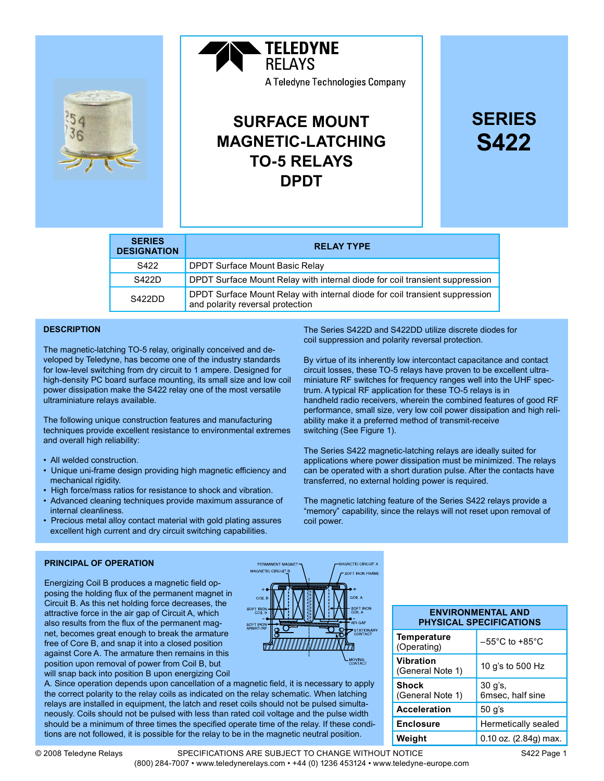

# **TELEDYNE RFI AYS** A Teledyne Technologies Company

# SURFACE MOUNT MAGNETIC-LATCHING TO-5 RELAYS DPDT

# SERIES S422

| <b>SERIES</b><br><b>DESIGNATION</b> | <b>RELAY TYPE</b>                                                                                               |
|-------------------------------------|-----------------------------------------------------------------------------------------------------------------|
| S <sub>422</sub>                    | DPDT Surface Mount Basic Relay                                                                                  |
| S422D                               | DPDT Surface Mount Relay with internal diode for coil transient suppression                                     |
| S422DD                              | DPDT Surface Mount Relay with internal diode for coil transient suppression<br>and polarity reversal protection |

## **DESCRIPTION**

The magnetic-latching TO-5 relay, originally conceived and developed by Teledyne, has become one of the industry standards for low-level switching from dry circuit to 1 ampere. Designed for high-density PC board surface mounting, its small size and low coil power dissipation make the S422 relay one of the most versatile ultraminiature relays available.

The following unique construction features and manufacturing techniques provide excellent resistance to environmental extremes and overall high reliability:

- All welded construction.
- Unique uni-frame design providing high magnetic efficiency and mechanical rigidity.
- High force/mass ratios for resistance to shock and vibration.
- Advanced cleaning techniques provide maximum assurance of internal cleanliness.
- Precious metal alloy contact material with gold plating assures excellent high current and dry circuit switching capabilities.

The Series S422D and S422DD utilize discrete diodes for coil suppression and polarity reversal protection.

By virtue of its inherently low intercontact capacitance and contact circuit losses, these TO-5 relays have proven to be excellent ultraminiature RF switches for frequency ranges well into the UHF spectrum. A typical RF application for these TO-5 relays is in handheld radio receivers, wherein the combined features of good RF performance, small size, very low coil power dissipation and high reliability make it a preferred method of transmit-receive switching (See Figure 1).

The Series S422 magnetic-latching relays are ideally suited for applications where power dissipation must be minimized. The relays can be operated with a short duration pulse. After the contacts have transferred, no external holding power is required.

The magnetic latching feature of the Series S422 relays provide a "memory" capability, since the relays will not reset upon removal of coil power.

#### PRINCIPAL OF OPERATION

Energizing Coil B produces a magnetic field opposing the holding flux of the permanent magnet in Circuit B. As this net holding force decreases, the attractive force in the air gap of Circuit A, which also results from the flux of the permanent magnet, becomes great enough to break the armature free of Core B, and snap it into a closed position against Core A. The armature then remains in this position upon removal of power from Coil B, but will snap back into position B upon energizing Coil



A. Since operation depends upon cancellation of a magnetic field, it is necessary to apply the correct polarity to the relay coils as indicated on the relay schematic. When latching relays are installed in equipment, the latch and reset coils should not be pulsed simultaneously. Coils should not be pulsed with less than rated coil voltage and the pulse width should be a minimum of three times the specified operate time of the relay. If these conditions are not followed, it is possible for the relay to be in the magnetic neutral position.

#### ENVIRONMENTAL AND PHYSICAL SPECIFICATIONS

| <b>Temperature</b><br>(Operating)    | $-55^{\circ}$ C to +85 $^{\circ}$ C |  |
|--------------------------------------|-------------------------------------|--|
| <b>Vibration</b><br>(General Note 1) | 10 g's to 500 Hz                    |  |
| <b>Shock</b><br>(General Note 1)     | 30 g's,<br>6msec, half sine         |  |
| <b>Acceleration</b>                  | $50$ g's                            |  |
| <b>Enclosure</b>                     | Hermetically sealed                 |  |
| Weight                               | 0.10 oz. (2.84g) max.               |  |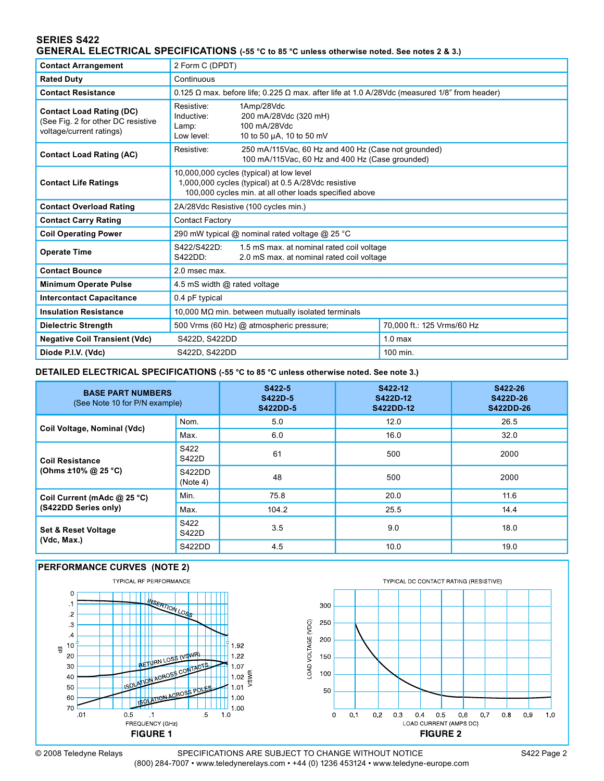# SERIES S422 GENERAL ELECTRICAL SPECIFICATIONS (-55 °C to 85 °C unless otherwise noted. See notes 2 & 3.)

| <b>Contact Arrangement</b>                                                                        | 2 Form C (DPDT)                                                                                                                                           |                                                                                 |                            |  |
|---------------------------------------------------------------------------------------------------|-----------------------------------------------------------------------------------------------------------------------------------------------------------|---------------------------------------------------------------------------------|----------------------------|--|
| <b>Rated Duty</b>                                                                                 | Continuous                                                                                                                                                |                                                                                 |                            |  |
| <b>Contact Resistance</b>                                                                         | 0.125 $\Omega$ max. before life; 0.225 $\Omega$ max. after life at 1.0 A/28Vdc (measured 1/8" from header)                                                |                                                                                 |                            |  |
| <b>Contact Load Rating (DC)</b><br>(See Fig. 2 for other DC resistive<br>voltage/current ratings) | Resistive:<br>Inductive:<br>Lamp:<br>Low level:                                                                                                           | 1Amp/28Vdc<br>200 mA/28Vdc (320 mH)<br>100 mA/28Vdc<br>10 to 50 µA, 10 to 50 mV |                            |  |
| <b>Contact Load Rating (AC)</b>                                                                   | Resistive:<br>250 mA/115Vac, 60 Hz and 400 Hz (Case not grounded)<br>100 mA/115Vac, 60 Hz and 400 Hz (Case grounded)                                      |                                                                                 |                            |  |
| <b>Contact Life Ratings</b>                                                                       | 10,000,000 cycles (typical) at low level<br>1,000,000 cycles (typical) at 0.5 A/28Vdc resistive<br>100,000 cycles min. at all other loads specified above |                                                                                 |                            |  |
| <b>Contact Overload Rating</b>                                                                    | 2A/28Vdc Resistive (100 cycles min.)                                                                                                                      |                                                                                 |                            |  |
| <b>Contact Carry Rating</b>                                                                       | <b>Contact Factory</b>                                                                                                                                    |                                                                                 |                            |  |
| <b>Coil Operating Power</b>                                                                       | 290 mW typical @ nominal rated voltage @ 25 °C                                                                                                            |                                                                                 |                            |  |
| <b>Operate Time</b>                                                                               | S422/S422D:<br>1.5 mS max. at nominal rated coil voltage<br>2.0 mS max. at nominal rated coil voltage<br>S422DD:                                          |                                                                                 |                            |  |
| <b>Contact Bounce</b>                                                                             | 2.0 msec max.                                                                                                                                             |                                                                                 |                            |  |
| <b>Minimum Operate Pulse</b>                                                                      | 4.5 mS width @ rated voltage                                                                                                                              |                                                                                 |                            |  |
| <b>Intercontact Capacitance</b>                                                                   | 0.4 pF typical                                                                                                                                            |                                                                                 |                            |  |
| <b>Insulation Resistance</b>                                                                      | 10,000 M $\Omega$ min. between mutually isolated terminals                                                                                                |                                                                                 |                            |  |
| <b>Dielectric Strength</b>                                                                        |                                                                                                                                                           | 500 Vrms (60 Hz) @ atmospheric pressure;                                        | 70,000 ft.: 125 Vrms/60 Hz |  |
| <b>Negative Coil Transient (Vdc)</b>                                                              | S422D, S422DD                                                                                                                                             |                                                                                 | 1.0 <sub>max</sub>         |  |
| Diode P.I.V. (Vdc)                                                                                | S422D, S422DD                                                                                                                                             |                                                                                 | 100 min.                   |  |

#### DETAILED ELECTRICAL SPECIFICATIONS (-55 °C to 85 °C unless otherwise noted. See note 3.)

| <b>BASE PART NUMBERS</b><br>(See Note 10 for P/N example) |                    | S422-5<br>S422D-5<br><b>S422DD-5</b> | S422-12<br>S422D-12<br>S422DD-12 | S422-26<br>S422D-26<br>S422DD-26 |
|-----------------------------------------------------------|--------------------|--------------------------------------|----------------------------------|----------------------------------|
| Coil Voltage, Nominal (Vdc)                               | Nom.               | 5.0                                  | 12.0                             | 26.5                             |
|                                                           | Max.               | 6.0                                  | 16.0                             | 32.0                             |
| <b>Coil Resistance</b>                                    | S422<br>S422D      | 61                                   | 500                              | 2000                             |
| (Ohms $\pm 10\%$ @ 25 °C)                                 | S422DD<br>(Note 4) | 48                                   | 500                              | 2000                             |
| Coil Current (mAdc @ 25 °C)                               | Min.               | 75.8                                 | 20.0                             | 11.6                             |
| (S422DD Series only)                                      | Max.               | 104.2                                | 25.5                             | 14.4                             |
| <b>Set &amp; Reset Voltage</b><br>(Vdc, Max.)             | S422<br>S422D      | 3.5                                  | 9.0                              | 18.0                             |
|                                                           | S422DD             | 4.5                                  | 10.0                             | 19.0                             |

#### PERFORMANCE CURVES (NOTE 2)